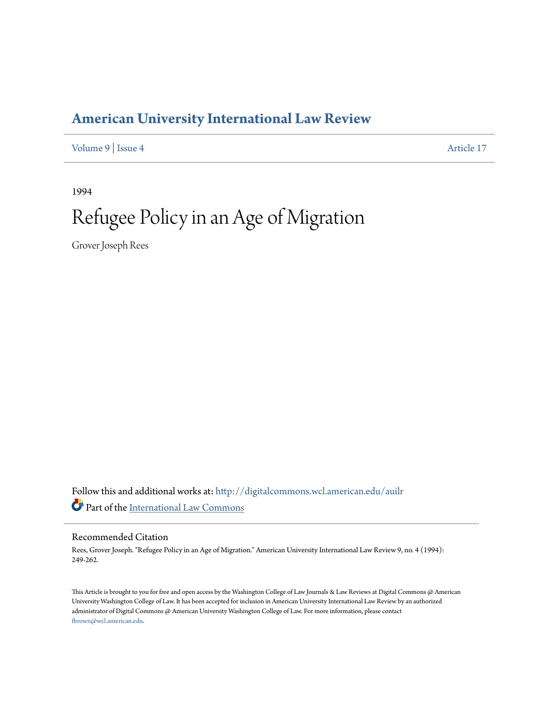## **[American University International Law Review](http://digitalcommons.wcl.american.edu/auilr?utm_source=digitalcommons.wcl.american.edu%2Fauilr%2Fvol9%2Fiss4%2F17&utm_medium=PDF&utm_campaign=PDFCoverPages)**

[Volume 9](http://digitalcommons.wcl.american.edu/auilr/vol9?utm_source=digitalcommons.wcl.american.edu%2Fauilr%2Fvol9%2Fiss4%2F17&utm_medium=PDF&utm_campaign=PDFCoverPages) | [Issue 4](http://digitalcommons.wcl.american.edu/auilr/vol9/iss4?utm_source=digitalcommons.wcl.american.edu%2Fauilr%2Fvol9%2Fiss4%2F17&utm_medium=PDF&utm_campaign=PDFCoverPages) [Article 17](http://digitalcommons.wcl.american.edu/auilr/vol9/iss4/17?utm_source=digitalcommons.wcl.american.edu%2Fauilr%2Fvol9%2Fiss4%2F17&utm_medium=PDF&utm_campaign=PDFCoverPages)

1994

# Refugee Policy in an Age of Migration

Grover Joseph Rees

Follow this and additional works at: [http://digitalcommons.wcl.american.edu/auilr](http://digitalcommons.wcl.american.edu/auilr?utm_source=digitalcommons.wcl.american.edu%2Fauilr%2Fvol9%2Fiss4%2F17&utm_medium=PDF&utm_campaign=PDFCoverPages) Part of the [International Law Commons](http://network.bepress.com/hgg/discipline/609?utm_source=digitalcommons.wcl.american.edu%2Fauilr%2Fvol9%2Fiss4%2F17&utm_medium=PDF&utm_campaign=PDFCoverPages)

#### Recommended Citation

Rees, Grover Joseph. "Refugee Policy in an Age of Migration." American University International Law Review 9, no. 4 (1994): 249-262.

This Article is brought to you for free and open access by the Washington College of Law Journals & Law Reviews at Digital Commons @ American University Washington College of Law. It has been accepted for inclusion in American University International Law Review by an authorized administrator of Digital Commons @ American University Washington College of Law. For more information, please contact [fbrown@wcl.american.edu](mailto:fbrown@wcl.american.edu).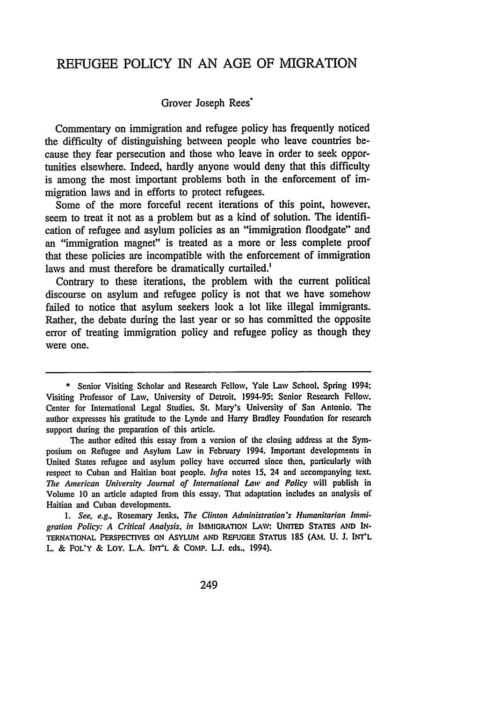### REFUGEE POLICY IN AN AGE OF MIGRATION

#### Grover Joseph Rees<sup>\*</sup>

Commentary on immigration and refugee policy has frequently noticed the difficulty of distinguishing between people who leave countries because they fear persecution and those who leave in order to seek opportunities elsewhere. Indeed, hardly anyone would deny that this difficulty is among the most important problems both in the enforcement of immigration laws and in efforts to protect refugees.

Some of the more forceful recent iterations of this point, however, seem to treat it not as a problem but as a kind of solution. The identification of refugee and asylum policies as an "immigration floodgate" and an "immigration magnet" is treated as a more or less complete proof that these policies are incompatible with the enforcement of immigration laws and must therefore be dramatically curtailed.'

Contrary to these iterations, the problem with the current political discourse on asylum and refugee policy is not that we have somehow failed to notice that asylum seekers look a lot like illegal immigrants. Rather, the debate during the last year or so has committed the opposite error of treating immigration policy and refugee policy as though they were one.

**1.** See, e.g., Rosemary Jenks, Tie Clinton Administration's Humanitarian Immigration Policy: *A Critical Analysis, in* IMMIGRATION LAM: UNrrED STATES **AND** IN-TERNATIONAL PERSPECTIVES **ON ASYLUM AND REFUGEE STATUS** 185 **(AM.** U. **1. INT'L** L. & POL'Y & LOY. **L.A.** INT'L & COMP. **LJ.** eds.. 1994).

<sup>\*</sup> Senior Visiting Scholar and Research Fellow, Yale Law School. Spring 1994: Visiting Professor of Law, University of Detroit. 1994-95. Senior Research Fellow. Center for International Legal Studies. St. Mary's University of San Antonio. The author expresses his gratitude to the Lynde and Harry Bradley Foundation for research support during the preparation of this article.

The author edited this essay from a version of the closing address at the Symposium on Refugee and Asylum Law in February 1994. Important developments in United States refugee and asylum policy have occurred since then, particularly with respect to Cuban and Haitian boat people. Infra notes 15, 24 and accompanying text. *The American University Journal of International Law and* Policy will publish in Volume 10 an article adapted from this essay. That adaptation includes an analysis of Haitian and Cuban developments.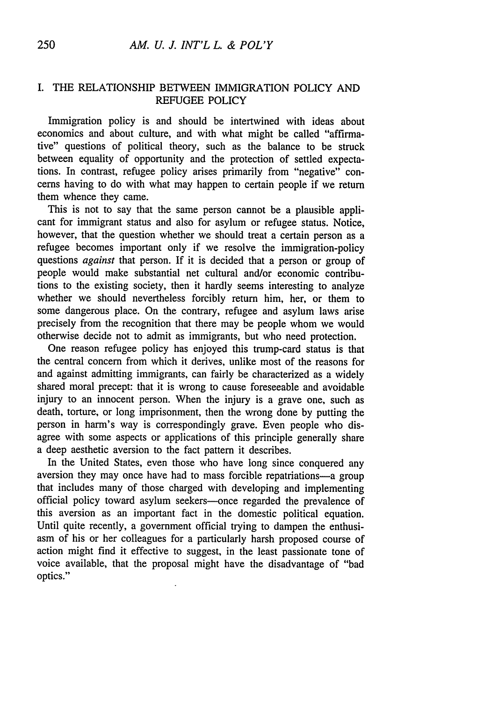#### I. THE RELATIONSHIP BETWEEN IMMIGRATION POLICY AND REFUGEE POLICY

Immigration policy is and should be intertwined with ideas about economics and about culture, and with what might be called "affirmative" questions of political theory, such as the balance to be struck between equality of opportunity and the protection of settled expectations. In contrast, refugee policy arises primarily from "negative" concerns having to do with what may happen to certain people if we return them whence they came.

This is not to say that the same person cannot be a plausible applicant for immigrant status and also for asylum or refugee status. Notice, however, that the question whether we should treat a certain person as a refugee becomes important only if we resolve the immigration-policy questions *against* that person. If it is decided that a person or group of people would make substantial net cultural and/or economic contributions to the existing society, then it hardly seems interesting to analyze whether we should nevertheless forcibly return him, her, or them to some dangerous place. On the contrary, refugee and asylum laws arise precisely from the recognition that there may be people whom we would otherwise decide not to admit as immigrants, but who need protection.

One reason refugee policy has enjoyed this trump-card status is that the central concern from which it derives, unlike most of the reasons for and against admitting immigrants, can fairly be characterized as a widely shared moral precept: that it is wrong to cause foreseeable and avoidable injury to an innocent person. When the injury is a grave one, such as death, torture, or long imprisonment, then the wrong done by putting the person in harm's way is correspondingly grave. Even people who disagree with some aspects or applications of this principle generally share a deep aesthetic aversion to the fact pattern it describes.

In the United States, even those who have long since conquered any aversion they may once have had to mass forcible repatriations-a group that includes many of those charged with developing and implementing official policy toward asylum seekers-once regarded the prevalence of this aversion as an important fact in the domestic political equation. Until quite recently, a government official trying to dampen the enthusiasm of his or her colleagues for a particularly harsh proposed course of action might find it effective to suggest, in the least passionate tone of voice available, that the proposal might have the disadvantage of "bad optics."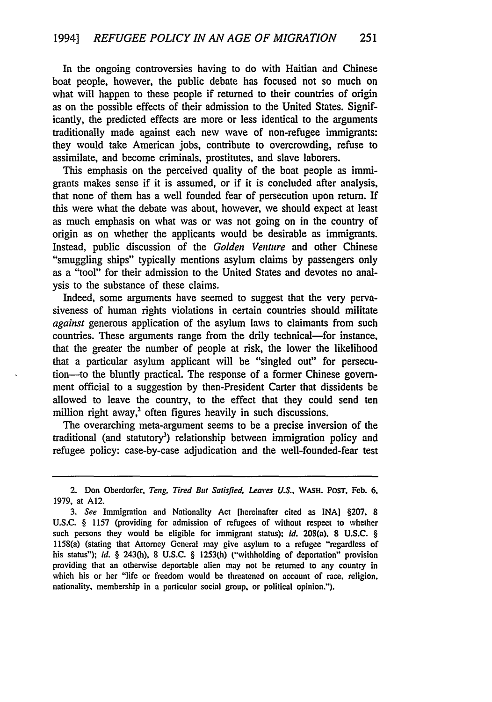In the ongoing controversies having to do with Haitian and Chinese boat people, however, the public debate has focused not so much on what will happen to these people if returned to their countries of origin as on the possible effects of their admission to the United States. Significantly, the predicted effects are more or less identical to the arguments traditionally made against each new wave of non-refugee immigrants: they would take American jobs, contribute to overcrowding, refuse to assimilate, and become criminals, prostitutes, and slave laborers.

This emphasis on the perceived quality of the boat people as immigrants makes sense if it is assumed, or if it is concluded after analysis, that none of them has a well founded fear of persecution upon return. If this were what the debate was about, however, we should expect at least as much emphasis on what was or was not going on in the country of origin as on whether the applicants would be desirable as immigrants. Instead, public discussion of the *Golden Venture* and other Chinese "smuggling ships" typically mentions asylum claims by passengers only as a "tool" for their admission to the United States and devotes no analysis to the substance of these claims.

Indeed, some arguments have seemed to suggest that the very pervasiveness of human rights violations in certain countries should militate *against* generous application of the asylum laws to claimants from such countries. These arguments range from the drily technical-for instance, that the greater the number of people at risk, the lower the likelihood that a particular asylum applicant will be "singled out" for persecution-to the bluntly practical. The response of a former Chinese government official to a suggestion by then-President Carter that dissidents be allowed to leave the country, to the effect that they could send ten million right away, $3$  often figures heavily in such discussions.

The overarching meta-argument seems to be a precise inversion of the traditional (and statutory<sup>3</sup>) relationship between immigration policy and refugee policy: case-by-case adjudication and the well-founded-fear test

<sup>2.</sup> Don Oberdorfer, *Teng, Tired But Satisfied. Leaves U.S..* WASH. **POST,** Feb. 6. 1979, at A12.

*<sup>3.</sup> See* Immigration and Nationality Act [hereinafter cited as INA] §207. 8 **U.S.C.** § 1157 (providing for admission of refugees of without respect to whether such persons they would be eligible for immigrant status). *id.* 208(a). **8** U.S.C. § 1158(a) (stating that Attorney General may give asylum to a refugee "regardless **of** his status"); *id.* § 243(h), 8 U.S.C. § 1253(h) ("withholding of deportation" provision providing that an otherwise deportable alien may not be returned to any country in which his or her "life or freedom would be threatened on account of race. religion. nationality, membership in a particular social group, or political opinion.").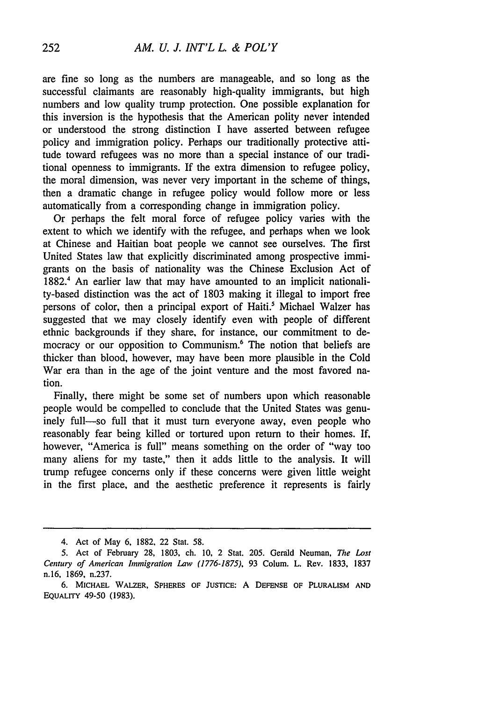are fine so long as the numbers are manageable, and so long as the successful claimants are reasonably high-quality immigrants, but high numbers and low quality trump protection. One possible explanation for this inversion is the hypothesis that the American polity never intended or understood the strong distinction I have asserted between refugee policy and immigration policy. Perhaps our traditionally protective attitude toward refugees was no more than a special instance of our traditional openness to immigrants. If the extra dimension to refugee policy, the moral dimension, was never very important in the scheme of things, then a dramatic change in refugee policy would follow more or less automatically from a corresponding change in immigration policy.

Or perhaps the felt moral force of refugee policy varies with the extent to which we identify with the refugee, and perhaps when we look at Chinese and Haitian boat people we cannot see ourselves. The first United States law that explicitly discriminated among prospective immigrants on the basis of nationality was the Chinese Exclusion Act of 1882.' An earlier law that may have amounted to an implicit nationality-based distinction was the act of 1803 making it illegal to import free persons of color, then a principal export of Haiti.' Michael Walzer has suggested that we may closely identify even with people of different ethnic backgrounds if they share, for instance, our commitment to democracy or our opposition to Communism.<sup>6</sup> The notion that beliefs are thicker than blood, however, may have been more plausible in the Cold War era than in the age of the joint venture and the most favored nation.

Finally, there might be some set of numbers upon which reasonable people would be compelled to conclude that the United States was genuinely full—so full that it must turn everyone away, even people who reasonably fear being killed or tortured upon return to their homes. If, however, "America is full" means something on the order of "way too many aliens for my taste," then it adds little to the analysis. It will trump refugee concerns only if these concerns were given little weight in the first place, and the aesthetic preference it represents is fairly

<sup>4.</sup> Act of May 6, 1882, 22 Stat. 58.

*<sup>5.</sup>* Act of February 28, 1803, ch. 10, 2 Stat. 205. Gerald Neuman, *The Lost Century of American hnmigration Law (1776-1875),* 93 Colum. L. Rev. 1833, 1837 n.16, 1869, n.237.

<sup>6.</sup> **MICHAEL** WALZER, SPHERES **OF** JUSTICE: A **DEFENSE OF** PLURALISM **AND EQUALITY** 49-50 (1983).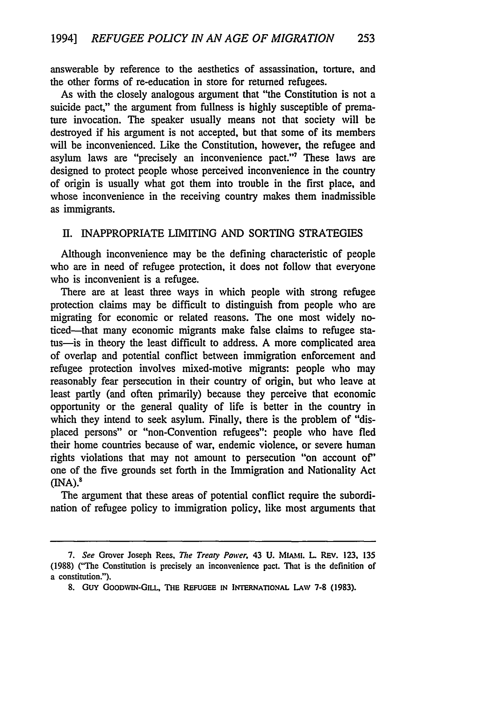answerable by reference to the aesthetics of assassination, torture, and the other forms of re-education in store for returned refugees.

As with the closely analogous argument that "the Constitution is not a suicide pact," the argument from fullness is highly susceptible of premature invocation. The speaker usually means not that society will be destroyed if his argument is not accepted, but that some of its members will be inconvenienced. Like the Constitution, however, the refugee and asylum laws are "precisely an inconvenience pact."7 These laws are designed to protect people whose perceived inconvenience in the country of origin is usually what got them into trouble in the first place, and whose inconvenience in the receiving country makes them inadmissible as immigrants.

#### **II.** INAPPROPRIATE LIMITING AND **SORTING** STRATEGIES

Although inconvenience may be the defining characteristic of people who are in need of refugee protection, it does not follow that everyone who is inconvenient is a refugee.

There are at least three ways in which people with strong refugee protection claims may be difficult to distinguish from people who are migrating for economic or related reasons. The one most widely noticed-that many economic migrants make false claims to refugee status-is in theory the least difficult to address. A more complicated area of overlap and potential conflict between immigration enforcement and refugee protection involves mixed-motive migrants: people who may reasonably fear persecution in their country of origin, but who leave at least partly (and often primarily) because they perceive that economic opportunity or the general quality of life is better in the country in which they intend to seek asylum. Finally, there is the problem of "displaced persons" or "non-Convention refugees": people who have fled their home countries because of war, endemic violence, or severe human rights violations that may not amount to persecution "on account of" one of the five grounds set forth in the Immigration and Nationality Act  $(MA)<sup>8</sup>$ 

The argument that these areas of potential conflict require the subordination of refugee policy to immigration policy, like most arguments that

*<sup>7.</sup> See* Grover Joseph Rees, *The Treay Power.* 43 **U.** MIAMI. L REV. 123. 135 (1988) ("The Constitution is precisely an inconvenience pact. That is the definition of a constitution.").

<sup>8.</sup> GUY GOODWIN-GILL, THE REFUGEE IN INTERNATIONAL LAW 7-8 (1983).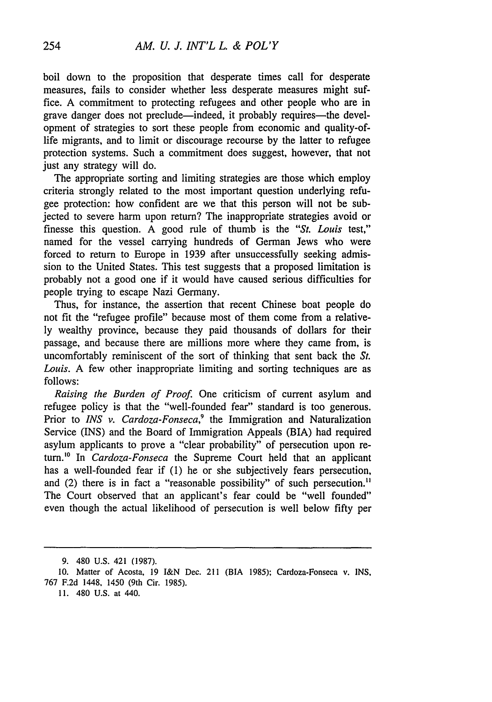boil down to the proposition that desperate times call for desperate measures, fails to consider whether less desperate measures might suffice. A commitment to protecting refugees and other people who are in grave danger does not preclude—indeed, it probably requires—the development of strategies to sort these people from economic and quality-oflife migrants, and to limit or discourage recourse by the latter to refugee protection systems. Such a commitment does suggest, however, that not just any strategy will do.

The appropriate sorting and limiting strategies are those which employ criteria strongly related to the most important question underlying refugee protection: how confident are we that this person will not be subjected to severe harm upon return? The inappropriate strategies avoid or finesse this question. A good rule of thumb is the *"St.* Louis test," named for the vessel carrying hundreds of German Jews who were forced to return to Europe in 1939 after unsuccessfully seeking admission to the United States. This test suggests that a proposed limitation is probably not a good one if it would have caused serious difficulties for people trying to escape Nazi Germany.

Thus, for instance, the assertion that recent Chinese boat people do not fit the "refugee profile" because most of them come from a relatively wealthy province, because they paid thousands of dollars for their passage, and because there are millions more where they came from, is uncomfortably reminiscent of the sort of thinking that sent back the *St. Louis.* A few other inappropriate limiting and sorting techniques are as follows:

*Raising the Burden of Proof.* One criticism of current asylum and refugee policy is that the "well-founded fear" standard is too generous. Prior to *INS v. Cardoza-Fonseca*,<sup>9</sup> the Immigration and Naturalization Service (INS) and the Board of Immigration Appeals (BIA) had required asylum applicants to prove a "clear probability" of persecution upon return." In *Cardoza-Fonseca* the Supreme Court held that an applicant has a well-founded fear if (1) he or she subjectively fears persecution, and (2) there is in fact a "reasonable possibility" of such persecution.<sup>11</sup> The Court observed that an applicant's fear could be "well founded" even though the actual likelihood of persecution is well below fifty per

<sup>9. 480</sup> U.S. 421 (1987).

**<sup>10.</sup>** Matter of Acosta, **19** I&N Dec. 211 (BIA **1985);** Cardoza-Fonseca v. **INS, 767 F.2d** 1448, 1450 (9th Cir. **1985).**

**<sup>11.</sup>** 480 **U.S.** at 440.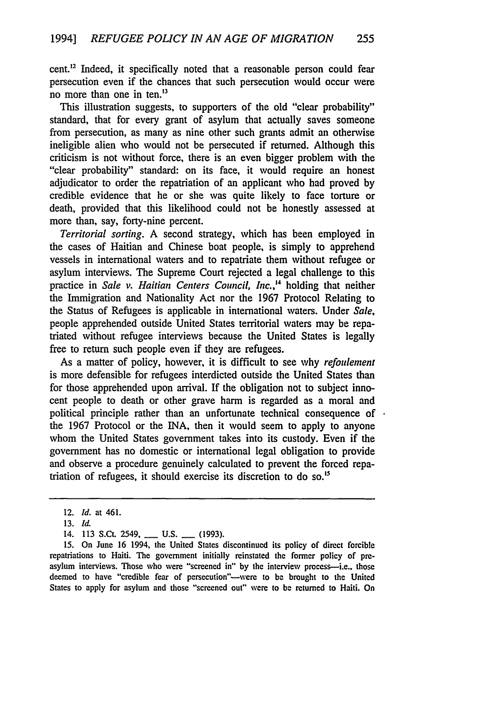cent.<sup>12</sup> Indeed, it specifically noted that a reasonable person could fear persecution even if the chances that such persecution would occur were no more than one in ten.<sup>13</sup>

This illustration suggests, to supporters of the old "clear probability" standard, that for every grant of asylum that actually saves someone from persecution, as many as nine other such grants admit an otherwise ineligible alien who would not be persecuted if returned. Although this criticism is not without force, there is an even bigger problem with the "clear probability" standard: on its face, it would require an honest adjudicator to order the repatriation of an applicant who had proved by credible evidence that he or she was quite likely to face torture or death, provided that this likelihood could not be honestly assessed at more than, say, forty-nine percent.

*Territorial sorting.* A second strategy, which has been employed in the cases of Haitian and Chinese boat people, is simply to apprehend vessels in international waters and to repatriate them without refugee or asylum interviews. The Supreme Court rejected a legal challenge to this practice in *Sale v. Haitian Centers Council, Inc.,4* holding that neither the Immigration and Nationality Act nor the 1967 Protocol Relating to the Status of Refugees is applicable in international waters. Under *Sale,* people apprehended outside United States territorial waters may be repatriated without refugee interviews because the United States is legally free to return such people even if they are refugees.

As a matter of policy, however, it is difficult to see why *refoulement* is more defensible for refugees interdicted outside the United States than for those apprehended upon arrival. If the obligation not to subject innocent people to death or other grave harm is regarded as a moral and political principle rather than an unfortunate technical consequence of the 1967 Protocol or the INA, then it would seem to apply to anyone whom the United States government takes into its custody. Even if the government has no domestic or international legal obligation to provide and observe a procedure genuinely calculated to prevent the forced repatriation of refugees, it should exercise its discretion to do so.<sup>15</sup>

**15.** On June 16 1994, the United States discontinued its policy of direct forcible repatriations to Haiti. The government initially reinstated the former policy of preasylum interviews. Those who were "screened in" by the interview process-i.e., those deemed to have "credible fear of persecution"-were to be brought to the United States to apply for asylum and those "screened out" were to be returned to Haiti. On

<sup>12.</sup> *Id.* at 461.

**<sup>13.</sup>** Id.

<sup>14. 113</sup> S.Ct. 2549, **\_\_ U.S. \_\_ (1993).**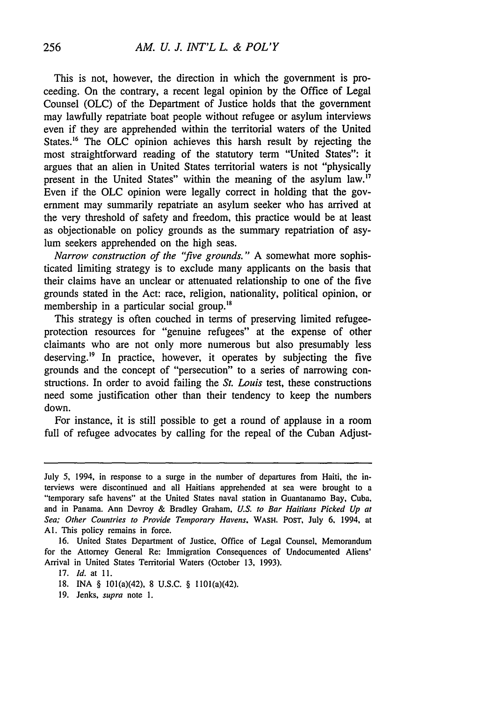This is not, however, the direction in which the government is proceeding. On the contrary, a recent legal opinion by the Office of Legal Counsel (OLC) of the Department of Justice holds that the government may lawfully repatriate boat people without refugee or asylum interviews even if they are apprehended within the territorial waters of the United States.<sup>16</sup> The OLC opinion achieves this harsh result by rejecting the most straightforward reading of the statutory term "United States": it argues that an alien in United States territorial waters is not "physically present in the United States" within the meaning of the asylum law.<sup>17</sup> Even if the OLC opinion were legally correct in holding that the government may summarily repatriate an asylum seeker who has arrived at the very threshold of safety and freedom, this practice would be at least as objectionable on policy grounds as the summary repatriation of asylum seekers apprehended on the high seas.

*Narrow construction of the "five grounds."* A somewhat more sophisticated limiting strategy is to exclude many applicants on the basis that their claims have an unclear or attenuated relationship to one of the five grounds stated in the Act: race, religion, nationality, political opinion, or membership in a particular social group.'<sup>8</sup>

This strategy is often couched in terms of preserving limited refugeeprotection resources for "genuine refugees" at the expense of other claimants who are not only more numerous but also presumably less deserving.<sup>19</sup> In practice, however, it operates by subjecting the five grounds and the concept of "persecution" to a series of narrowing constructions. In order to avoid failing the *St. Louis* test, these constructions need some justification other than their tendency to keep the numbers down.

For instance, it is still possible to get a round of applause in a room full of refugee advocates by calling for the repeal of the Cuban Adjust-

16. United States Department of Justice, Office of Legal Counsel, Memorandum for the Attorney General Re: Immigration Consequences of Undocumented Aliens' Arrival in United States Territorial Waters (October 13, 1993).

17. *Id.* at **11.**

19. Jenks, *supra* note 1.

July 5, 1994, in response to a surge in the number of departures from Haiti, the interviews were discontinued and all Haitians apprehended at sea were brought to a "temporary safe havens" at the United States naval station in Guantanamo Bay, Cuba. and in Panama. Ann Devroy & Bradley Graham, *U.S. to Bar Haitians Picked Up at Sea; Other Countries to Provide Temporary Havens.* WASH. PosT, July **6.** 1994, at **Al.** This policy remains in force.

<sup>18.</sup> INA § 101(a)(42), 8 U.S.C. § 1101(a)(42).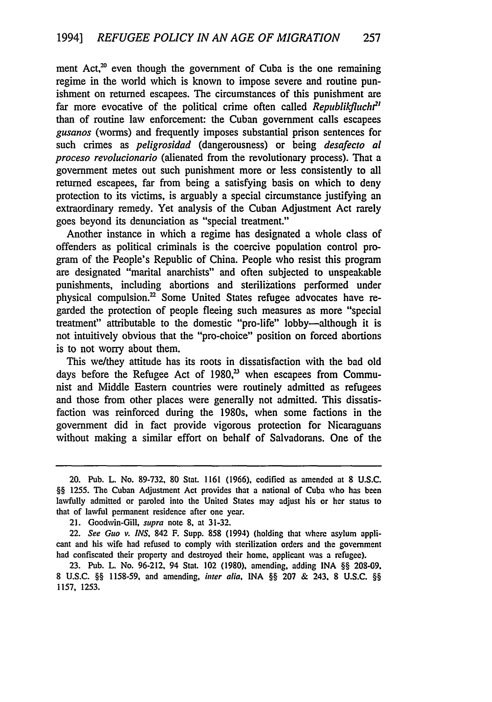ment Act, $20$  even though the government of Cuba is the one remaining regime in the world which is known to impose severe and routine punishment on returned escapees. The circumstances of this punishment are far more evocative of the political crime often called *Republikflucht'* than of routine law enforcement: the Cuban government calls escapees *gusanos* (worms) and frequently imposes substantial prison sentences for such crimes as *peligrosidad* (dangerousness) or being *desafecto* al *proceso revolucionario* (alienated from the revolutionary process). That a government metes out such punishment more or less consistently to all returned escapees, far from being a satisfying basis on which to deny protection to its victims, is arguably a special circumstance justifying an extraordinary remedy. Yet analysis of the Cuban Adjustment Act rarely goes beyond its denunciation as "special treatment."

Another instance in which a regime has designated a whole class of offenders as political criminals is the coercive population control program of the People's Republic of China. People who resist this program are designated "marital anarchists" and often subjected to unspeakable punishments, including abortions and sterilizations performed under physical compulsion.<sup>22</sup> Some United States refugee advocates have regarded the protection of people fleeing such measures as more "special treatment" attributable to the domestic "pro-life" lobby-although it is not intuitively obvious that the "pro-choice" position on forced abortions is to not worry about them.

This we/they attitude has its roots in dissatisfaction with the bad old days before the Refugee Act of 1980,<sup>23</sup> when escapees from Communist and Middle Eastern countries were routinely admitted as refugees and those from other places were generally not admitted. This dissatisfaction was reinforced during the 1980s, when some factions in the government did in fact provide vigorous protection for Nicaraguans without making a similar effort on behalf of Salvadorans. One of the

<sup>20.</sup> Pub. L. No. 89-732, 80 Stat. 1161 (1966), codified as amended at 8 U.S.C. §§ **1255.** The Cuban Adjustment Act provides that a national of Cuba who has been lawfully admitted or paroled into the United States may adjust his or her status to that of lawful permanent residence after one year.

<sup>21.</sup> Goodwin-Gill, supra note **8.** at 31-32.

<sup>22.</sup> See Guo v. **INS,** 842 F. Supp. 858 (1994) (holding that where asylum applicant and his wife had refused to comply with sterilization orders and the government had confiscated their property and destroyed their home, applicant was a refugee).

<sup>23.</sup> Pub. L. No. 96-212, 94 Stat. 102 **(1980),** amending, adding INA §§ **208-09.** 8 U.S.C. §§ 1158-59, and amending, inter **alia,** INA §§ 207 & 243. 8 **U.S.C.** §§ 1157, 1253.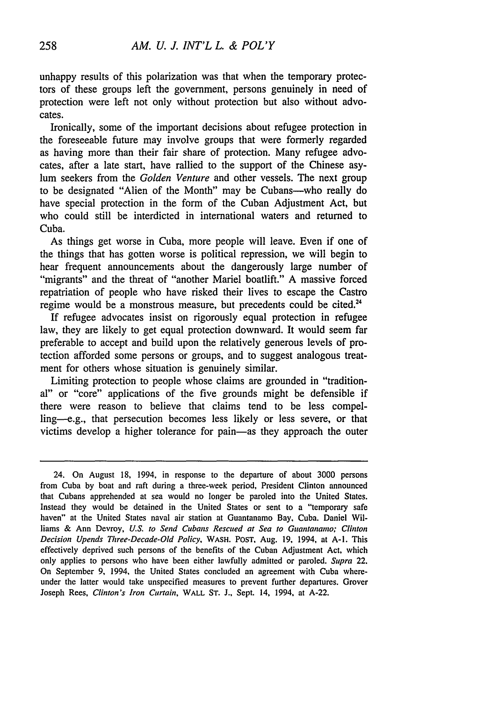unhappy results of this polarization was that when the temporary protectors of these groups left the government, persons genuinely in need of protection were left not only without protection but also without advocates.

Ironically, some of the important decisions about refugee protection in the foreseeable future may involve groups that were formerly regarded as having more than their fair share of protection. Many refugee advocates, after a late start, have rallied to the support of the Chinese asylum seekers from the *Golden Venture* and other vessels. The next group to be designated "Alien of the Month" may be Cubans-who really do have special protection in the form of the Cuban Adjustment Act, but who could still be interdicted in international waters and returned to Cuba.

As things get worse in Cuba, more people will leave. Even if one of the things that has gotten worse is political repression, we will begin to hear frequent announcements about the dangerously large number of "migrants" and the threat of "another Mariel boatlift." A massive forced repatriation of people who have risked their lives to escape the Castro regime would be a monstrous measure, but precedents could be cited.<sup>24</sup>

If refugee advocates insist on rigorously equal protection in refugee law, they are likely to get equal protection downward. It would seem far preferable to accept and build upon the relatively generous levels of protection afforded some persons or groups, and to suggest analogous treatment for others whose situation is genuinely similar.

Limiting protection to people whose claims are grounded in "traditional" or "core" applications of the five grounds might be defensible if there were reason to believe that claims tend to be less compelling--e.g., that persecution becomes less likely or less severe, or that victims develop a higher tolerance for pain-as they approach the outer

<sup>24.</sup> On August 18, 1994, in response to the departure of about 3000 persons from Cuba by boat and raft during a three-week period, President Clinton announced that Cubans apprehended at sea would no longer be paroled into the United States. Instead they would be detained in the United States or sent to a "temporary safe haven" at the United States naval air station at Guantanamo Bay. Cuba. Daniel Williams & Ann Devroy, *U.S. to* Send Cubans *Rescued at Sea to Guantanamo; Clinton Decision Upends Three-Decade-Old Policy,* WASH. **POST,** Aug. 19, 1994, at A-I. This effectively deprived such persons of the benefits of the Cuban Adjustment Act, which only applies to persons who have been either lawfully admitted or paroled. *Supra* 22. On September 9, 1994, the United States concluded an agreement with Cuba whereunder the latter would take unspecified measures to prevent further departures. Grover Joseph Rees, *Clinton's Iron Curtain,* WALL **ST. J.,** Sept. 14, 1994, at A-22.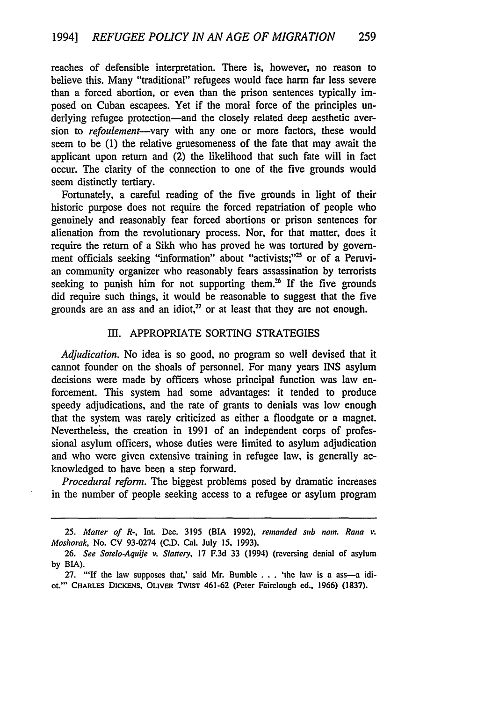reaches of defensible interpretation. There is, however, no reason to believe this. Many "traditional" refugees would face harm far less severe than a forced abortion, or even than the prison sentences typically imposed on Cuban escapees. Yet if the moral force of the principles underlying refugee protection-and the closely related deep aesthetic aversion to *refoulement-vary* with any one or more factors, these would seem to be (1) the relative gruesomeness of the fate that may await the applicant upon return and (2) the likelihood that such fate will in fact occur. The clarity of the connection to one of the five grounds would seem distinctly tertiary.

Fortunately, a careful reading of the five grounds in light of their historic purpose does not require the forced repatriation of people who genuinely and reasonably fear forced abortions or prison sentences for alienation from the revolutionary process. Nor, for that matter, does it require the return of a Sikh who has proved he was tortured by government officials seeking "information" about "activists;"<sup>25</sup> or of a Peruvian community organizer who reasonably fears assassination by terrorists seeking to punish him for not supporting them.<sup>26</sup> If the five grounds did require such things, it would be reasonable to suggest that the five grounds are an ass and an idiot, $27$  or at least that they are not enough.

#### III. APPROPRIATE SORTING STRATEGIES

*Adjudication.* No idea is so good, no program so well devised that it cannot founder on the shoals of personnel. For many years INS asylum decisions were made by officers whose principal function was law enforcement. This system had some advantages: it tended to produce speedy adjudications, and the rate of grants to denials was low enough that the system was rarely criticized as either a floodgate or a magnet. Nevertheless, the creation in 1991 of an independent corps of professional asylum officers, whose duties were limited to asylum adjudication and who were given extensive training in refugee law, is generally acknowledged to have been a step forward.

*Procedural reform.* The biggest problems posed by dramatic increases in the number of people seeking access to a refugee or asylum program

*<sup>25.</sup> Matter of R-,* Int. Dec. 3195 (BIA **1992),** *remanded sub nom. Rana .* Moshorak, No. **CV 93-0274 (C.D.** Cal. July **15, 1993).**

<sup>26.</sup> See Sotelo-Aquije v. Slattery, 17 F.3d 33 (1994) (reversing denial of asylum by BIA).

**<sup>27.</sup>** "'If the law supposes that,' said **Mr.** Bumble **. . .** 'the law is a ass-a idiot.'" CHARLES DicKENs, OLivER TwIsT 461-62 (Peter Fairclough ed., 1966) (1837).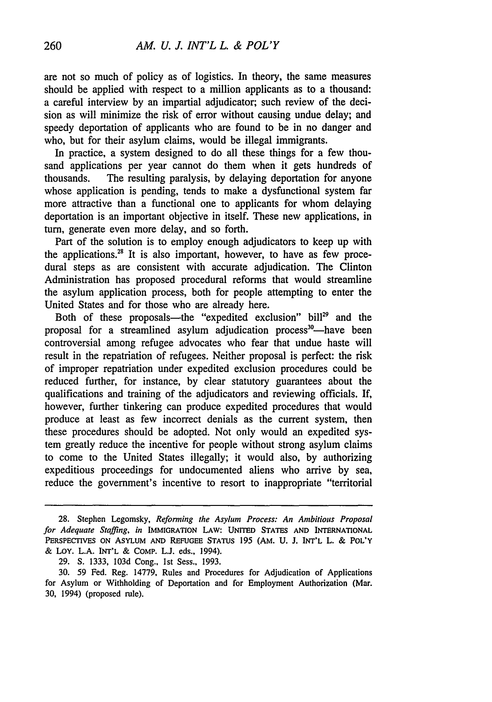are not so much of policy as of logistics. In theory, the same measures should be applied with respect to a million applicants as to a thousand: a careful interview by an impartial adjudicator; such review of the decision as will minimize the risk of error without causing undue delay; and speedy deportation of applicants who are found to be in no danger and who, but for their asylum claims, would be illegal immigrants.

In practice, a system designed to do all these things for a few thousand applications per year cannot do them when it gets hundreds of thousands. The resulting paralysis, by delaying deportation for anyone whose application is pending, tends to make a dysfunctional system far more attractive than a functional one to applicants for whom delaying deportation is an important objective in itself. These new applications, in turn, generate even more delay, and so forth.

Part of the solution is to employ enough adjudicators to keep up with the applications.<sup>28</sup> It is also important, however, to have as few procedural steps as are consistent with accurate adjudication. The Clinton Administration has proposed procedural reforms that would streamline the asylum application process, both for people attempting to enter the United States and for those who are already here.

Both of these proposals—the "expedited exclusion" bill<sup>29</sup> and the proposal for a streamlined asylum adjudication process<sup>30</sup>—have been controversial among refugee advocates who fear that undue haste will result in the repatriation of refugees. Neither proposal is perfect: the risk of improper repatriation under expedited exclusion procedures could be reduced further, for instance, by clear statutory guarantees about the qualifications and training of the adjudicators and reviewing officials. If, however, further tinkering can produce expedited procedures that would produce at least as few incorrect denials as the current system, then these procedures should be adopted. Not only would an expedited system greatly reduce the incentive for people without strong asylum claims to come to the United States illegally; it would also, by authorizing expeditious proceedings for undocumented aliens who arrive by sea, reduce the government's incentive to resort to inappropriate "territorial

<sup>28.</sup> Stephen Legomsky, *Reforming the Asylum Process: An Ambitious Proposal for Adequate Staffing, in* IMMIGRATION LAW: UNITED **STATES AND** INTERNATIONAL PERSPECTIVES ON ASYLUM **AND REFUGEE** STATUS 195 (AM. U. **J.** INT'L L. & POL'Y & Loy. L.A. INT'L & COMP. **L.J.** eds., 1994).

<sup>29.</sup> **S.** 1333, 103d Cong., Ist Sess., 1993.

<sup>30. 59</sup> Fed. Reg. 14779, Rules and Procedures for Adjudication of Applications for Asylum or Withholding of Deportation and for Employment Authorization (Mar. 30, 1994) (proposed rule).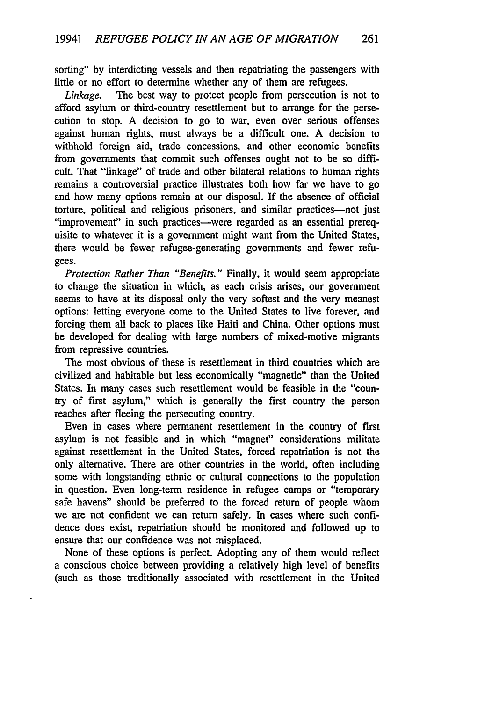sorting" by interdicting vessels and then repatriating the passengers with little or no effort to determine whether any of them are refugees.

*Linkage.* The best way to protect people from persecution is not to afford asylum or third-country resettlement but to arrange for the persecution to stop. A decision to go to war, even over serious offenses against human rights, must always be a difficult one. A decision to withhold foreign aid, trade concessions, and other economic benefits from governments that commit such offenses ought not to be so difficult. That "linkage" of trade and other bilateral relations to human rights remains a controversial practice illustrates both how far we have to go and how many options remain at our disposal. If the absence of official torture, political and religious prisoners, and similar practices-not just "improvement" in such practices—were regarded as an essential prerequisite to whatever it is a government might want from the United States, there would be fewer refugee-generating governments and fewer refugees.

*Protection Rather Than "Benefits."* Finally, it would seem appropriate to change the situation in which, as each crisis arises, our government seems to have at its disposal only the very softest and the very meanest options: letting everyone come to the United States to live forever, and forcing them all back to places like Haiti and China. Other options must be developed for dealing with large numbers of mixed-motive migrants from repressive countries.

The most obvious of these is resettlement in third countries which are civilized and habitable but less economically "magnetic" than the United States. In many cases such resettlement would be feasible in the "country of first asylum," which is generally the first country the person reaches after fleeing the persecuting country.

Even in cases where permanent resettlement in the country of first asylum is not feasible and in which "magnet" considerations militate against resettlement in the United States, forced repatriation is not the only alternative. There are other countries in the world, often including some with longstanding ethnic or cultural connections to the population in question. Even long-term residence in refugee camps or "temporary safe havens" should be preferred to the forced return of people whom we are not confident we can return safely. In cases where such confidence does exist, repatriation should be monitored and followed up to ensure that our confidence was not misplaced.

None of these options is perfect. Adopting any of them would reflect a conscious choice between providing a relatively high level of benefits (such as those traditionally associated with resettlement in the United